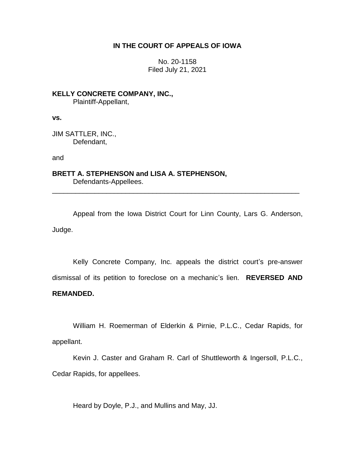# **IN THE COURT OF APPEALS OF IOWA**

No. 20-1158 Filed July 21, 2021

**KELLY CONCRETE COMPANY, INC.,** Plaintiff-Appellant,

**vs.**

JIM SATTLER, INC., Defendant,

and

**BRETT A. STEPHENSON and LISA A. STEPHENSON,** Defendants-Appellees.

Appeal from the Iowa District Court for Linn County, Lars G. Anderson, Judge.

\_\_\_\_\_\_\_\_\_\_\_\_\_\_\_\_\_\_\_\_\_\_\_\_\_\_\_\_\_\_\_\_\_\_\_\_\_\_\_\_\_\_\_\_\_\_\_\_\_\_\_\_\_\_\_\_\_\_\_\_\_\_\_\_

Kelly Concrete Company, Inc. appeals the district court's pre-answer dismissal of its petition to foreclose on a mechanic's lien. **REVERSED AND REMANDED.**

William H. Roemerman of Elderkin & Pirnie, P.L.C., Cedar Rapids, for appellant.

Kevin J. Caster and Graham R. Carl of Shuttleworth & Ingersoll, P.L.C., Cedar Rapids, for appellees.

Heard by Doyle, P.J., and Mullins and May, JJ.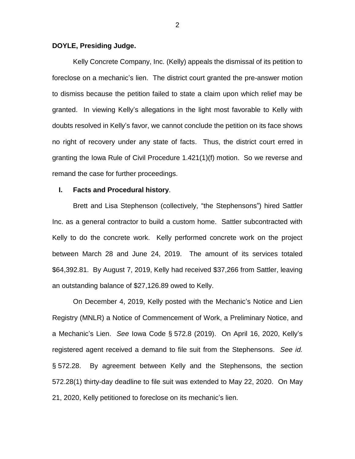#### **DOYLE, Presiding Judge.**

Kelly Concrete Company, Inc. (Kelly) appeals the dismissal of its petition to foreclose on a mechanic's lien. The district court granted the pre-answer motion to dismiss because the petition failed to state a claim upon which relief may be granted. In viewing Kelly's allegations in the light most favorable to Kelly with doubts resolved in Kelly's favor, we cannot conclude the petition on its face shows no right of recovery under any state of facts. Thus, the district court erred in granting the Iowa Rule of Civil Procedure 1.421(1)(f) motion. So we reverse and remand the case for further proceedings.

### **I. Facts and Procedural history**.

Brett and Lisa Stephenson (collectively, "the Stephensons") hired Sattler Inc. as a general contractor to build a custom home. Sattler subcontracted with Kelly to do the concrete work. Kelly performed concrete work on the project between March 28 and June 24, 2019. The amount of its services totaled \$64,392.81. By August 7, 2019, Kelly had received \$37,266 from Sattler, leaving an outstanding balance of \$27,126.89 owed to Kelly.

On December 4, 2019, Kelly posted with the Mechanic's Notice and Lien Registry (MNLR) a Notice of Commencement of Work, a Preliminary Notice, and a Mechanic's Lien. *See* Iowa Code § 572.8 (2019). On April 16, 2020, Kelly's registered agent received a demand to file suit from the Stephensons. *See id.*  § 572.28. By agreement between Kelly and the Stephensons, the section 572.28(1) thirty-day deadline to file suit was extended to May 22, 2020. On May 21, 2020, Kelly petitioned to foreclose on its mechanic's lien.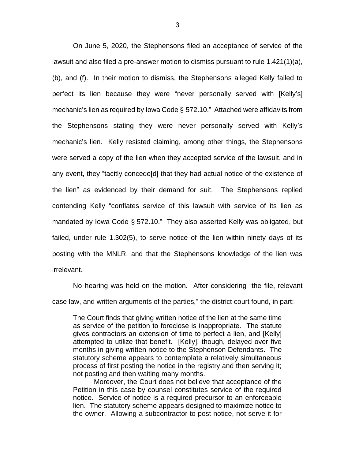On June 5, 2020, the Stephensons filed an acceptance of service of the lawsuit and also filed a pre-answer motion to dismiss pursuant to rule 1.421(1)(a), (b), and (f). In their motion to dismiss, the Stephensons alleged Kelly failed to perfect its lien because they were "never personally served with [Kelly's] mechanic's lien as required by Iowa Code § 572.10." Attached were affidavits from the Stephensons stating they were never personally served with Kelly's mechanic's lien. Kelly resisted claiming, among other things, the Stephensons were served a copy of the lien when they accepted service of the lawsuit, and in any event, they "tacitly concede[d] that they had actual notice of the existence of the lien" as evidenced by their demand for suit. The Stephensons replied contending Kelly "conflates service of this lawsuit with service of its lien as mandated by Iowa Code § 572.10." They also asserted Kelly was obligated, but failed, under rule 1.302(5), to serve notice of the lien within ninety days of its posting with the MNLR, and that the Stephensons knowledge of the lien was irrelevant.

No hearing was held on the motion. After considering "the file, relevant case law, and written arguments of the parties," the district court found, in part:

The Court finds that giving written notice of the lien at the same time as service of the petition to foreclose is inappropriate. The statute gives contractors an extension of time to perfect a lien, and [Kelly] attempted to utilize that benefit. [Kelly], though, delayed over five months in giving written notice to the Stephenson Defendants. The statutory scheme appears to contemplate a relatively simultaneous process of first posting the notice in the registry and then serving it; not posting and then waiting many months.

Moreover, the Court does not believe that acceptance of the Petition in this case by counsel constitutes service of the required notice. Service of notice is a required precursor to an enforceable lien. The statutory scheme appears designed to maximize notice to the owner. Allowing a subcontractor to post notice, not serve it for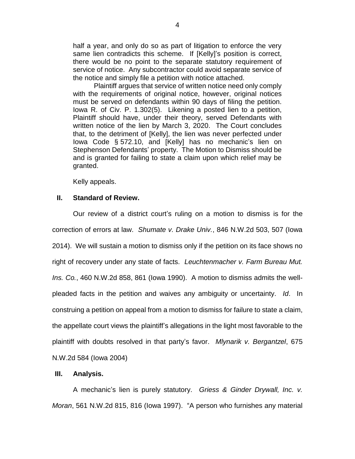half a year, and only do so as part of litigation to enforce the very same lien contradicts this scheme. If [Kelly]'s position is correct, there would be no point to the separate statutory requirement of service of notice. Any subcontractor could avoid separate service of the notice and simply file a petition with notice attached.

Plaintiff argues that service of written notice need only comply with the requirements of original notice, however, original notices must be served on defendants within 90 days of filing the petition. Iowa R. of Civ. P. 1.302(5). Likening a posted lien to a petition, Plaintiff should have, under their theory, served Defendants with written notice of the lien by March 3, 2020. The Court concludes that, to the detriment of [Kelly], the lien was never perfected under Iowa Code § 572.10, and [Kelly] has no mechanic's lien on Stephenson Defendants' property. The Motion to Dismiss should be and is granted for failing to state a claim upon which relief may be granted.

Kelly appeals.

#### **II. Standard of Review.**

Our review of a district court's ruling on a motion to dismiss is for the correction of errors at law. *Shumate v. Drake Univ.*, 846 N.W.2d 503, 507 (Iowa 2014). We will sustain a motion to dismiss only if the petition on its face shows no right of recovery under any state of facts. *Leuchtenmacher v. Farm Bureau Mut. Ins. Co.*, 460 N.W.2d 858, 861 (Iowa 1990). A motion to dismiss admits the wellpleaded facts in the petition and waives any ambiguity or uncertainty. *Id*. In construing a petition on appeal from a motion to dismiss for failure to state a claim, the appellate court views the plaintiff's allegations in the light most favorable to the plaintiff with doubts resolved in that party's favor. *Mlynarik v. Bergantzel*, 675 N.W.2d 584 (Iowa 2004)

## **III. Analysis.**

A mechanic's lien is purely statutory. *Griess & Ginder Drywall, Inc. v. Moran*, 561 N.W.2d 815, 816 (Iowa 1997). "A person who furnishes any material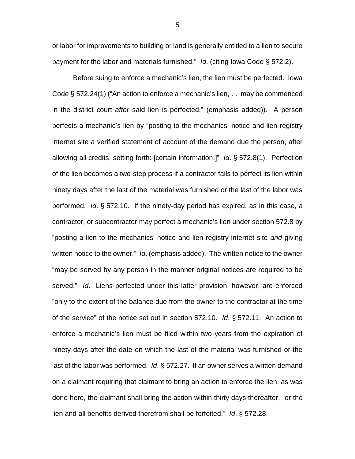or labor for improvements to building or land is generally entitled to a lien to secure payment for the labor and materials furnished." *Id*. (citing Iowa Code § 572.2).

Before suing to enforce a mechanic's lien, the lien must be perfected. Iowa Code § 572.24(1) ("An action to enforce a mechanic's lien, . . may be commenced in the district court *after* said lien is perfected." (emphasis added)). A person perfects a mechanic's lien by "posting to the mechanics' notice and lien registry internet site a verified statement of account of the demand due the person, after allowing all credits, setting forth: [certain information.]" *Id*. § 572.8(1). Perfection of the lien becomes a two-step process if a contractor fails to perfect its lien within ninety days after the last of the material was furnished or the last of the labor was performed. *Id*. § 572.10. If the ninety-day period has expired, as in this case, a contractor, or subcontractor may perfect a mechanic's lien under section 572.8 by "posting a lien to the mechanics' notice and lien registry internet site *and* giving written notice to the owner." *Id*. (emphasis added). The written notice to the owner "may be served by any person in the manner original notices are required to be served." *Id*. Liens perfected under this latter provision, however, are enforced "only to the extent of the balance due from the owner to the contractor at the time of the service" of the notice set out in section 572.10. *Id*. § 572.11. An action to enforce a mechanic's lien must be filed within two years from the expiration of ninety days after the date on which the last of the material was furnished or the last of the labor was performed. *Id*. § 572.27. If an owner serves a written demand on a claimant requiring that claimant to bring an action to enforce the lien, as was done here, the claimant shall bring the action within thirty days thereafter, "or the lien and all benefits derived therefrom shall be forfeited." *Id*. § 572.28.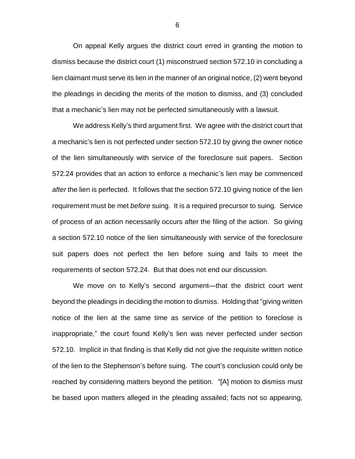On appeal Kelly argues the district court erred in granting the motion to dismiss because the district court (1) misconstrued section 572.10 in concluding a lien claimant must serve its lien in the manner of an original notice, (2) went beyond the pleadings in deciding the merits of the motion to dismiss, and (3) concluded that a mechanic's lien may not be perfected simultaneously with a lawsuit.

We address Kelly's third argument first. We agree with the district court that a mechanic's lien is not perfected under section 572.10 by giving the owner notice of the lien simultaneously with service of the foreclosure suit papers. Section 572.24 provides that an action to enforce a mechanic's lien may be commenced *after* the lien is perfected. It follows that the section 572.10 giving notice of the lien requirement must be met *before* suing. It is a required precursor to suing. Service of process of an action necessarily occurs after the filing of the action. So giving a section 572.10 notice of the lien simultaneously with service of the foreclosure suit papers does not perfect the lien before suing and fails to meet the requirements of section 572.24. But that does not end our discussion.

We move on to Kelly's second argument—that the district court went beyond the pleadings in deciding the motion to dismiss. Holding that "giving written notice of the lien at the same time as service of the petition to foreclose is inappropriate," the court found Kelly's lien was never perfected under section 572.10. Implicit in that finding is that Kelly did not give the requisite written notice of the lien to the Stephenson's before suing. The court's conclusion could only be reached by considering matters beyond the petition. "[A] motion to dismiss must be based upon matters alleged in the pleading assailed; facts not so appearing,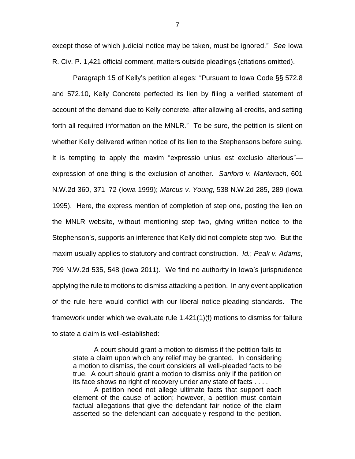except those of which judicial notice may be taken, must be ignored." *See* Iowa R. Civ. P. 1,421 official comment, matters outside pleadings (citations omitted).

Paragraph 15 of Kelly's petition alleges: "Pursuant to Iowa Code §§ 572.8 and 572.10, Kelly Concrete perfected its lien by filing a verified statement of account of the demand due to Kelly concrete, after allowing all credits, and setting forth all required information on the MNLR." To be sure, the petition is silent on whether Kelly delivered written notice of its lien to the Stephensons before suing. It is tempting to apply the maxim "expressio unius est exclusio alterious" expression of one thing is the exclusion of another. *Sanford v. Manterach,* 601 N.W.2d 360, 371–72 (Iowa 1999); *Marcus v. Young,* 538 N.W.2d 285, 289 (Iowa 1995). Here, the express mention of completion of step one, posting the lien on the MNLR website, without mentioning step two, giving written notice to the Stephenson's, supports an inference that Kelly did not complete step two. But the maxim usually applies to statutory and contract construction. *Id.*; *Peak v. Adams*, 799 N.W.2d 535, 548 (Iowa 2011). We find no authority in Iowa's jurisprudence applying the rule to motions to dismiss attacking a petition. In any event application of the rule here would conflict with our liberal notice-pleading standards. The framework under which we evaluate rule 1.421(1)(f) motions to dismiss for failure to state a claim is well-established:

A court should grant a motion to dismiss if the petition fails to state a claim upon which any relief may be granted. In considering a motion to dismiss, the court considers all well-pleaded facts to be true. A court should grant a motion to dismiss only if the petition on its face shows no right of recovery under any state of facts . . . .

A petition need not allege ultimate facts that support each element of the cause of action; however, a petition must contain factual allegations that give the defendant fair notice of the claim asserted so the defendant can adequately respond to the petition.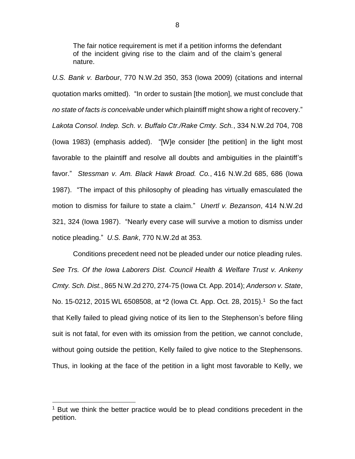The fair notice requirement is met if a petition informs the defendant of the incident giving rise to the claim and of the claim's general nature.

*U.S. Bank v. Barbour*, 770 N.W.2d 350, 353 (Iowa 2009) (citations and internal quotation marks omitted). "In order to sustain [the motion], we must conclude that *no state of facts is conceivable* under which plaintiff might show a right of recovery." *Lakota Consol. Indep. Sch. v. Buffalo Ctr./Rake Cmty. Sch.*, 334 N.W.2d 704, 708 (Iowa 1983) (emphasis added). "[W]e consider [the petition] in the light most favorable to the plaintiff and resolve all doubts and ambiguities in the plaintiff's favor." *Stessman v. Am. Black Hawk Broad. Co.*, 416 N.W.2d 685, 686 (Iowa 1987). "The impact of this philosophy of pleading has virtually emasculated the motion to dismiss for failure to state a claim." *Unertl v. Bezanson*, 414 N.W.2d 321, 324 (Iowa 1987). "Nearly every case will survive a motion to dismiss under notice pleading." *U.S. Bank*, 770 N.W.2d at 353*.*

Conditions precedent need not be pleaded under our notice pleading rules. *See Trs. Of the Iowa Laborers Dist. Council Health & Welfare Trust v. Ankeny Cmty. Sch. Dist.*, 865 N.W.2d 270, 274-75 (Iowa Ct. App. 2014); *Anderson v. State*, No. 15-0212, 2015 WL 6508508, at \*2 (lowa Ct. App. Oct. 28, 2015).<sup>1</sup> So the fact that Kelly failed to plead giving notice of its lien to the Stephenson's before filing suit is not fatal, for even with its omission from the petition, we cannot conclude, without going outside the petition, Kelly failed to give notice to the Stephensons. Thus, in looking at the face of the petition in a light most favorable to Kelly, we

 $\overline{a}$ 

 $1$  But we think the better practice would be to plead conditions precedent in the petition.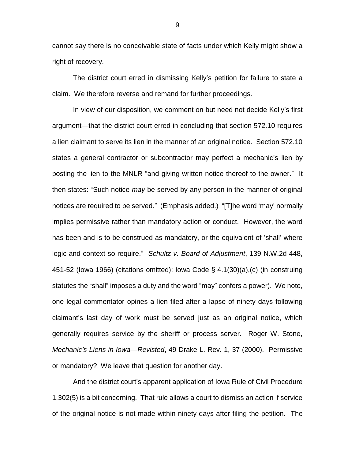cannot say there is no conceivable state of facts under which Kelly might show a right of recovery.

The district court erred in dismissing Kelly's petition for failure to state a claim. We therefore reverse and remand for further proceedings.

In view of our disposition, we comment on but need not decide Kelly's first argument—that the district court erred in concluding that section 572.10 requires a lien claimant to serve its lien in the manner of an original notice. Section 572.10 states a general contractor or subcontractor may perfect a mechanic's lien by posting the lien to the MNLR "and giving written notice thereof to the owner." It then states: "Such notice *may* be served by any person in the manner of original notices are required to be served." (Emphasis added.) "[T]he word 'may' normally implies permissive rather than mandatory action or conduct. However, the word has been and is to be construed as mandatory, or the equivalent of 'shall' where logic and context so require." *Schultz v. Board of Adjustment*, 139 N.W.2d 448, 451-52 (Iowa 1966) (citations omitted); Iowa Code § 4.1(30)(a),(c) (in construing statutes the "shall" imposes a duty and the word "may" confers a power). We note, one legal commentator opines a lien filed after a lapse of ninety days following claimant's last day of work must be served just as an original notice, which generally requires service by the sheriff or process server. Roger W. Stone, *Mechanic's Liens in Iowa—Revisted*, 49 Drake L. Rev. 1, 37 (2000). Permissive or mandatory? We leave that question for another day.

And the district court's apparent application of Iowa Rule of Civil Procedure 1.302(5) is a bit concerning. That rule allows a court to dismiss an action if service of the original notice is not made within ninety days after filing the petition. The